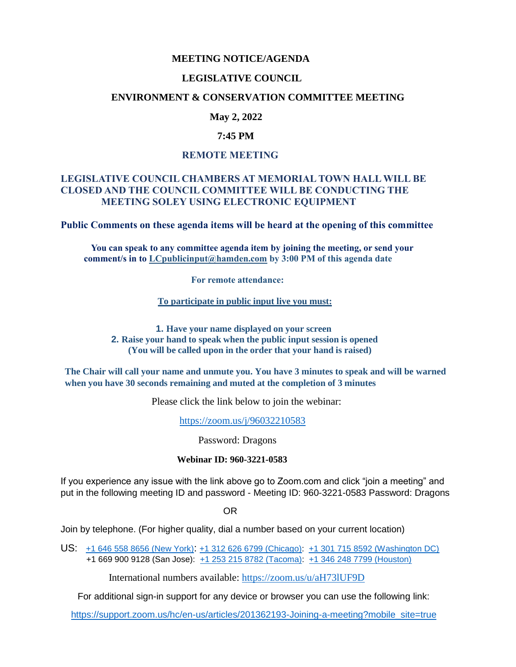## **MEETING NOTICE/AGENDA**

#### **LEGISLATIVE COUNCIL**

## **ENVIRONMENT & CONSERVATION COMMITTEE MEETING**

## **May 2, 2022**

## **7:45 PM**

## **REMOTE MEETING**

## **LEGISLATIVE COUNCIL CHAMBERS AT MEMORIAL TOWN HALL WILL BE CLOSED AND THE COUNCIL COMMITTEE WILL BE CONDUCTING THE MEETING SOLEY USING ELECTRONIC EQUIPMENT**

**Public Comments on these agenda items will be heard at the opening of this committee** 

 **You can speak to any committee agenda item by joining the meeting, or send your comment/s in to [LCpublicinput@hamden.com](mailto:LCpublicinput@hamden.com) by 3:00 PM of this agenda date**

 **For remote attendance:**

**To participate in public input live you must:**

**1. Have your name displayed on your screen 2. Raise your hand to speak when the public input session is opened (You will be called upon in the order that your hand is raised)**

**The Chair will call your name and unmute you. You have 3 minutes to speak and will be warned when you have 30 seconds remaining and muted at the completion of 3 minutes**

Please click the link below to join the webinar:

<https://zoom.us/j/96032210583>

Password: Dragons

#### **Webinar ID: 960-3221-0583**

If you experience any issue with the link above go to Zoom.com and click "join a meeting" and put in the following meeting ID and password - Meeting ID: 960-3221-0583 Password: Dragons

OR

Join by telephone. (For higher quality, dial a number based on your current location)

US: [+1 646 558 8656 \(New York\)](tel:+16465588656): [+1 312 626 6799 \(Chicago\):](tel:+13126266799) [+1 301 715 8592 \(Washington DC\)](tel:+13017158592) +1 669 900 9128 (San Jose): [+1 253 215 8782 \(Tacoma\):](tel:+12532158782) [+1 346 248 7799 \(Houston\)](tel:+13462487799)

International numbers available:<https://zoom.us/u/aH73lUF9D>

For additional sign-in support for any device or browser you can use the following link:

[https://support.zoom.us/hc/en-us/articles/201362193-Joining-a-meeting?mobile\\_site=true](https://support.zoom.us/hc/en-us/articles/201362193-Joining-a-meeting?mobile_site=true)